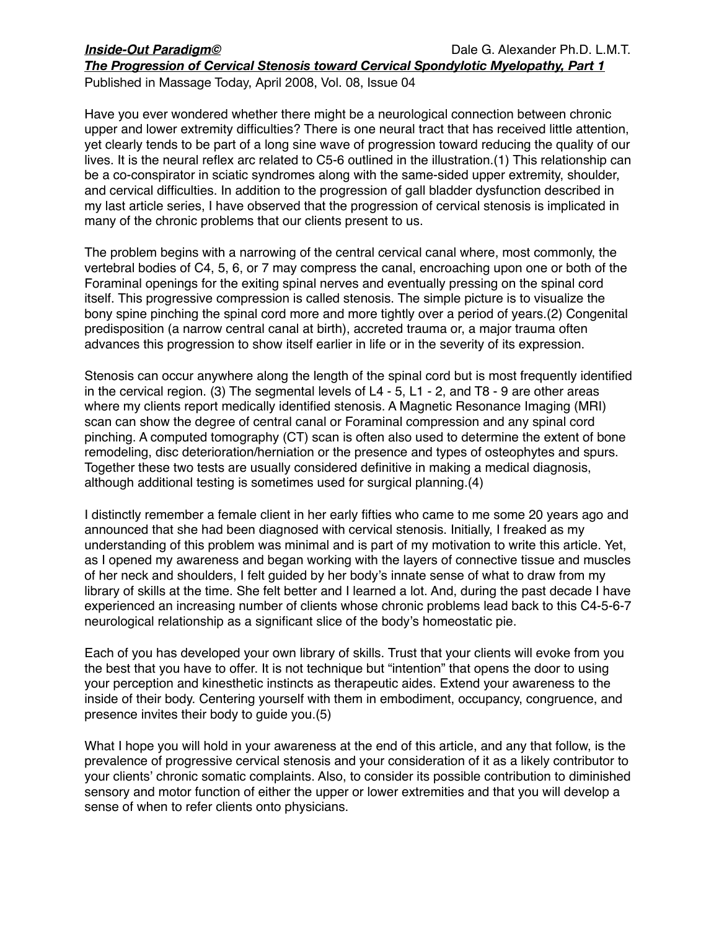Published in Massage Today, April 2008, Vol. 08, Issue 04

Have you ever wondered whether there might be a neurological connection between chronic upper and lower extremity difficulties? There is one neural tract that has received little attention, yet clearly tends to be part of a long sine wave of progression toward reducing the quality of our lives. It is the neural reflex arc related to C5-6 outlined in the illustration.(1) This relationship can be a co-conspirator in sciatic syndromes along with the same-sided upper extremity, shoulder, and cervical difficulties. In addition to the progression of gall bladder dysfunction described in my last article series, I have observed that the progression of cervical stenosis is implicated in many of the chronic problems that our clients present to us.

The problem begins with a narrowing of the central cervical canal where, most commonly, the vertebral bodies of C4, 5, 6, or 7 may compress the canal, encroaching upon one or both of the Foraminal openings for the exiting spinal nerves and eventually pressing on the spinal cord itself. This progressive compression is called stenosis. The simple picture is to visualize the bony spine pinching the spinal cord more and more tightly over a period of years.(2) Congenital predisposition (a narrow central canal at birth), accreted trauma or, a major trauma often advances this progression to show itself earlier in life or in the severity of its expression.

Stenosis can occur anywhere along the length of the spinal cord but is most frequently identified in the cervical region. (3) The segmental levels of L4 - 5, L1 - 2, and T8 - 9 are other areas where my clients report medically identified stenosis. A Magnetic Resonance Imaging (MRI) scan can show the degree of central canal or Foraminal compression and any spinal cord pinching. A computed tomography (CT) scan is often also used to determine the extent of bone remodeling, disc deterioration/herniation or the presence and types of osteophytes and spurs. Together these two tests are usually considered definitive in making a medical diagnosis, although additional testing is sometimes used for surgical planning.(4)

I distinctly remember a female client in her early fifties who came to me some 20 years ago and announced that she had been diagnosed with cervical stenosis. Initially, I freaked as my understanding of this problem was minimal and is part of my motivation to write this article. Yet, as I opened my awareness and began working with the layers of connective tissue and muscles of her neck and shoulders, I felt guided by her body's innate sense of what to draw from my library of skills at the time. She felt better and I learned a lot. And, during the past decade I have experienced an increasing number of clients whose chronic problems lead back to this C4-5-6-7 neurological relationship as a significant slice of the body's homeostatic pie.

Each of you has developed your own library of skills. Trust that your clients will evoke from you the best that you have to offer. It is not technique but "intention" that opens the door to using your perception and kinesthetic instincts as therapeutic aides. Extend your awareness to the inside of their body. Centering yourself with them in embodiment, occupancy, congruence, and presence invites their body to guide you.(5)

What I hope you will hold in your awareness at the end of this article, and any that follow, is the prevalence of progressive cervical stenosis and your consideration of it as a likely contributor to your clients' chronic somatic complaints. Also, to consider its possible contribution to diminished sensory and motor function of either the upper or lower extremities and that you will develop a sense of when to refer clients onto physicians.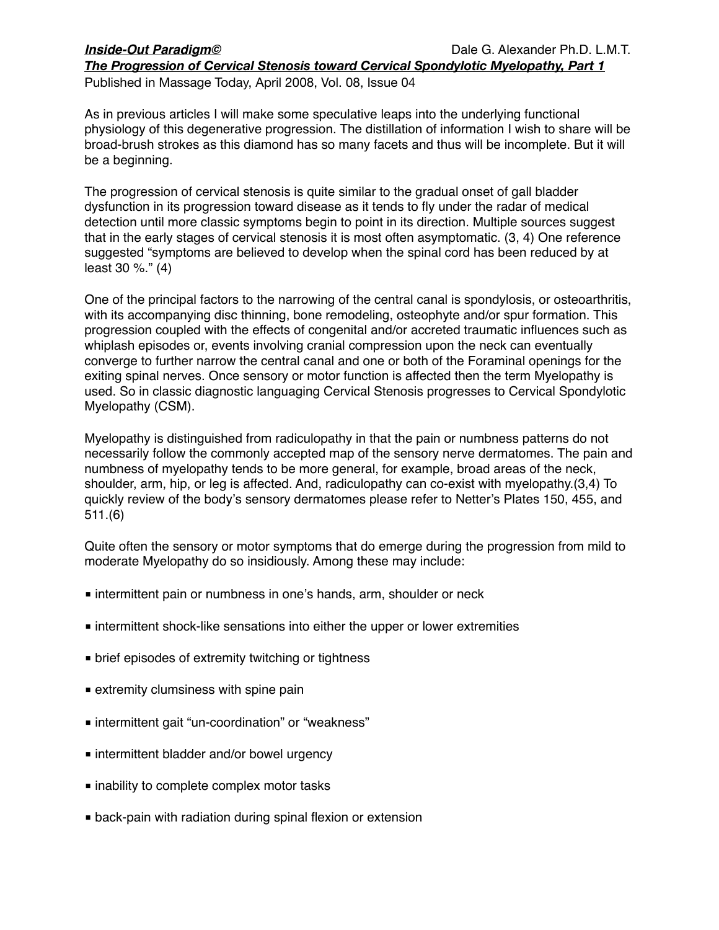Published in Massage Today, April 2008, Vol. 08, Issue 04

As in previous articles I will make some speculative leaps into the underlying functional physiology of this degenerative progression. The distillation of information I wish to share will be broad-brush strokes as this diamond has so many facets and thus will be incomplete. But it will be a beginning.

The progression of cervical stenosis is quite similar to the gradual onset of gall bladder dysfunction in its progression toward disease as it tends to fly under the radar of medical detection until more classic symptoms begin to point in its direction. Multiple sources suggest that in the early stages of cervical stenosis it is most often asymptomatic. (3, 4) One reference suggested "symptoms are believed to develop when the spinal cord has been reduced by at least 30 %." (4)

One of the principal factors to the narrowing of the central canal is spondylosis, or osteoarthritis, with its accompanying disc thinning, bone remodeling, osteophyte and/or spur formation. This progression coupled with the effects of congenital and/or accreted traumatic influences such as whiplash episodes or, events involving cranial compression upon the neck can eventually converge to further narrow the central canal and one or both of the Foraminal openings for the exiting spinal nerves. Once sensory or motor function is affected then the term Myelopathy is used. So in classic diagnostic languaging Cervical Stenosis progresses to Cervical Spondylotic Myelopathy (CSM).

Myelopathy is distinguished from radiculopathy in that the pain or numbness patterns do not necessarily follow the commonly accepted map of the sensory nerve dermatomes. The pain and numbness of myelopathy tends to be more general, for example, broad areas of the neck, shoulder, arm, hip, or leg is affected. And, radiculopathy can co-exist with myelopathy.(3,4) To quickly review of the body's sensory dermatomes please refer to Netter's Plates 150, 455, and 511.(6)

Quite often the sensory or motor symptoms that do emerge during the progression from mild to moderate Myelopathy do so insidiously. Among these may include:

- intermittent pain or numbness in one's hands, arm, shoulder or neck
- intermittent shock-like sensations into either the upper or lower extremities
- brief episodes of extremity twitching or tightness
- extremity clumsiness with spine pain
- intermittent gait "un-coordination" or "weakness"
- intermittent bladder and/or bowel urgency
- inability to complete complex motor tasks
- back-pain with radiation during spinal flexion or extension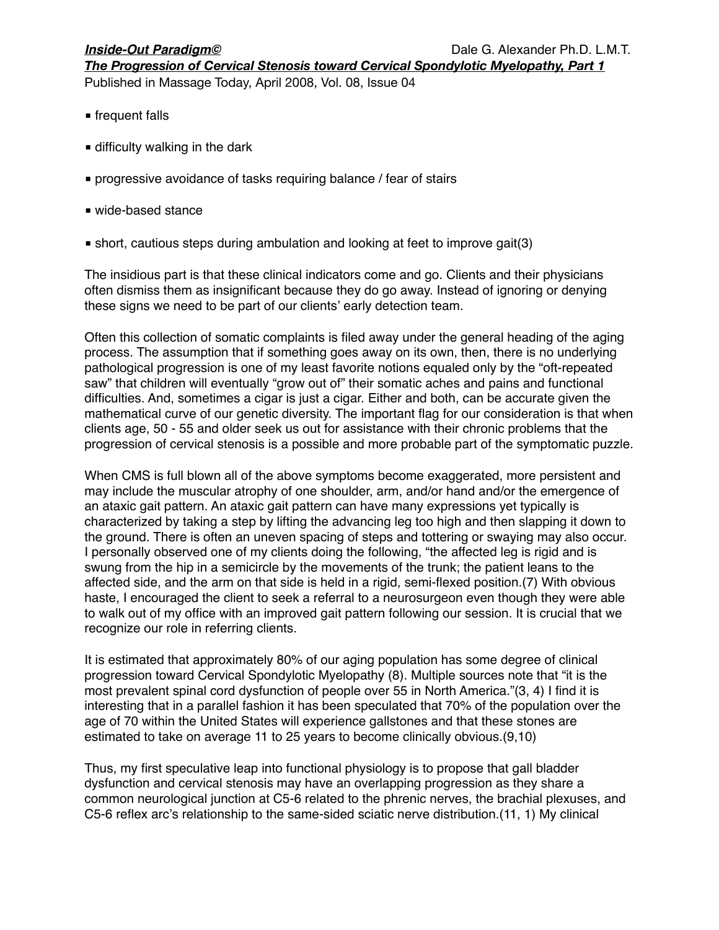Published in Massage Today, April 2008, Vol. 08, Issue 04

- frequent falls
- difficulty walking in the dark
- progressive avoidance of tasks requiring balance / fear of stairs
- wide-based stance
- short, cautious steps during ambulation and looking at feet to improve gait(3)

The insidious part is that these clinical indicators come and go. Clients and their physicians often dismiss them as insignificant because they do go away. Instead of ignoring or denying these signs we need to be part of our clients' early detection team.

Often this collection of somatic complaints is filed away under the general heading of the aging process. The assumption that if something goes away on its own, then, there is no underlying pathological progression is one of my least favorite notions equaled only by the "oft-repeated saw" that children will eventually "grow out of" their somatic aches and pains and functional difficulties. And, sometimes a cigar is just a cigar. Either and both, can be accurate given the mathematical curve of our genetic diversity. The important flag for our consideration is that when clients age, 50 - 55 and older seek us out for assistance with their chronic problems that the progression of cervical stenosis is a possible and more probable part of the symptomatic puzzle.

When CMS is full blown all of the above symptoms become exaggerated, more persistent and may include the muscular atrophy of one shoulder, arm, and/or hand and/or the emergence of an ataxic gait pattern. An ataxic gait pattern can have many expressions yet typically is characterized by taking a step by lifting the advancing leg too high and then slapping it down to the ground. There is often an uneven spacing of steps and tottering or swaying may also occur. I personally observed one of my clients doing the following, "the affected leg is rigid and is swung from the hip in a semicircle by the movements of the trunk; the patient leans to the affected side, and the arm on that side is held in a rigid, semi-flexed position.(7) With obvious haste, I encouraged the client to seek a referral to a neurosurgeon even though they were able to walk out of my office with an improved gait pattern following our session. It is crucial that we recognize our role in referring clients.

It is estimated that approximately 80% of our aging population has some degree of clinical progression toward Cervical Spondylotic Myelopathy (8). Multiple sources note that "it is the most prevalent spinal cord dysfunction of people over 55 in North America."(3, 4) I find it is interesting that in a parallel fashion it has been speculated that 70% of the population over the age of 70 within the United States will experience gallstones and that these stones are estimated to take on average 11 to 25 years to become clinically obvious.(9,10)

Thus, my first speculative leap into functional physiology is to propose that gall bladder dysfunction and cervical stenosis may have an overlapping progression as they share a common neurological junction at C5-6 related to the phrenic nerves, the brachial plexuses, and C5-6 reflex arc's relationship to the same-sided sciatic nerve distribution.(11, 1) My clinical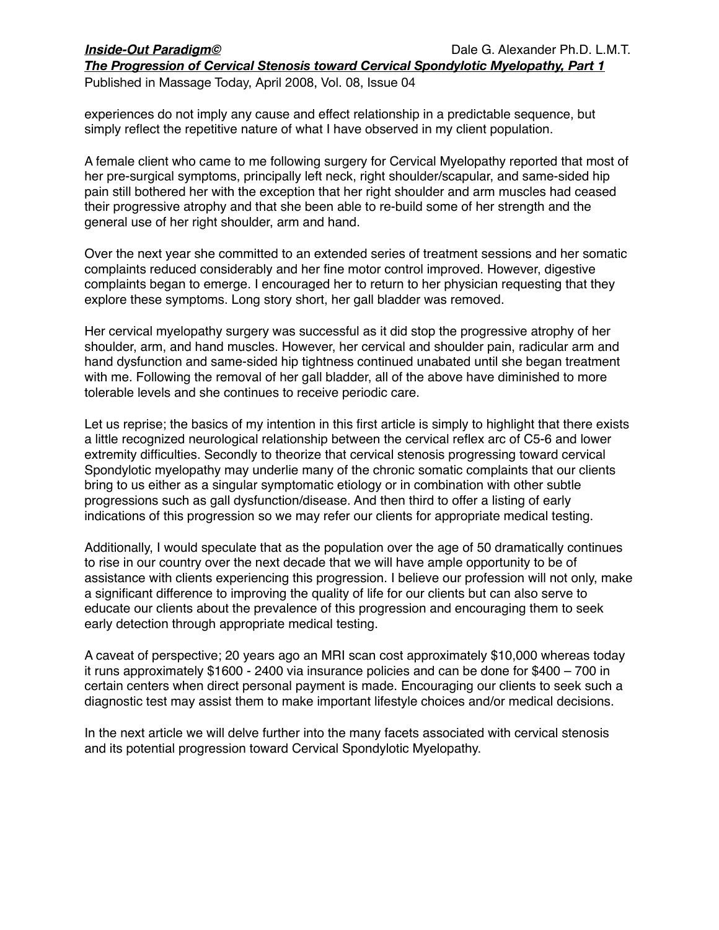Published in Massage Today, April 2008, Vol. 08, Issue 04

experiences do not imply any cause and effect relationship in a predictable sequence, but simply reflect the repetitive nature of what I have observed in my client population.

A female client who came to me following surgery for Cervical Myelopathy reported that most of her pre-surgical symptoms, principally left neck, right shoulder/scapular, and same-sided hip pain still bothered her with the exception that her right shoulder and arm muscles had ceased their progressive atrophy and that she been able to re-build some of her strength and the general use of her right shoulder, arm and hand.

Over the next year she committed to an extended series of treatment sessions and her somatic complaints reduced considerably and her fine motor control improved. However, digestive complaints began to emerge. I encouraged her to return to her physician requesting that they explore these symptoms. Long story short, her gall bladder was removed.

Her cervical myelopathy surgery was successful as it did stop the progressive atrophy of her shoulder, arm, and hand muscles. However, her cervical and shoulder pain, radicular arm and hand dysfunction and same-sided hip tightness continued unabated until she began treatment with me. Following the removal of her gall bladder, all of the above have diminished to more tolerable levels and she continues to receive periodic care.

Let us reprise; the basics of my intention in this first article is simply to highlight that there exists a little recognized neurological relationship between the cervical reflex arc of C5-6 and lower extremity difficulties. Secondly to theorize that cervical stenosis progressing toward cervical Spondylotic myelopathy may underlie many of the chronic somatic complaints that our clients bring to us either as a singular symptomatic etiology or in combination with other subtle progressions such as gall dysfunction/disease. And then third to offer a listing of early indications of this progression so we may refer our clients for appropriate medical testing.

Additionally, I would speculate that as the population over the age of 50 dramatically continues to rise in our country over the next decade that we will have ample opportunity to be of assistance with clients experiencing this progression. I believe our profession will not only, make a significant difference to improving the quality of life for our clients but can also serve to educate our clients about the prevalence of this progression and encouraging them to seek early detection through appropriate medical testing.

A caveat of perspective; 20 years ago an MRI scan cost approximately \$10,000 whereas today it runs approximately \$1600 - 2400 via insurance policies and can be done for \$400 – 700 in certain centers when direct personal payment is made. Encouraging our clients to seek such a diagnostic test may assist them to make important lifestyle choices and/or medical decisions.

In the next article we will delve further into the many facets associated with cervical stenosis and its potential progression toward Cervical Spondylotic Myelopathy.